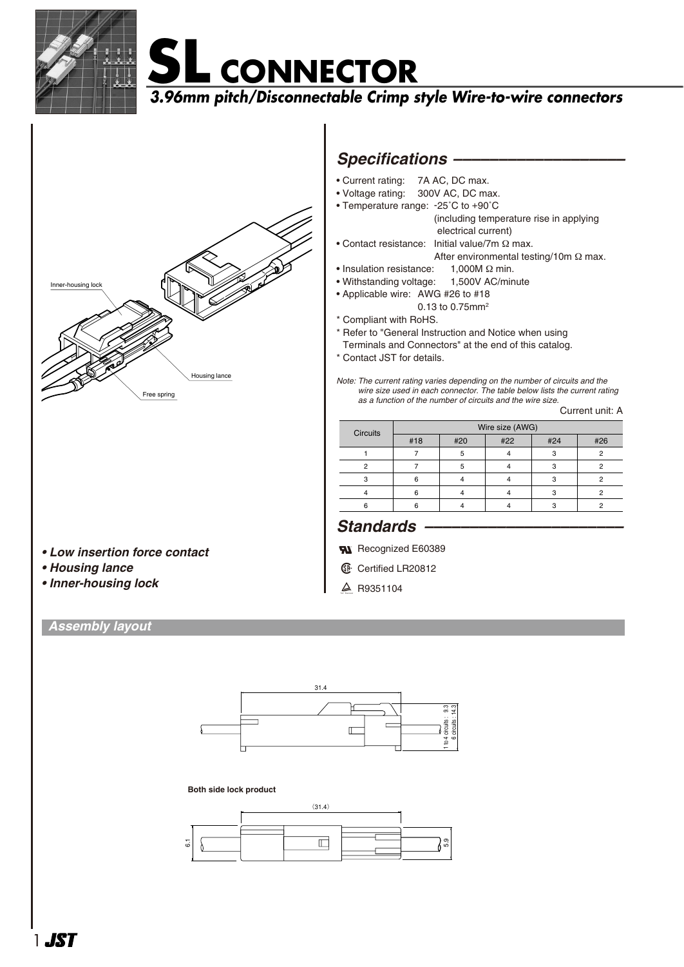

# **SL CONNECTOR**

**3.96mm pitch/Disconnectable Crimp style Wire-to-wire connectors**



## *Specifications –––––––––––––––––––*

- Current rating: 7A AC, DC max.
- Voltage rating: 300V AC, DC max.
- Temperature range: -25˚C to +90˚C (including temperature rise in applying electrical current)
- Contact resistance: Initial value/7m Ω max. After environmental testing/10m Ω max.
- Insulation resistance: 1,000M Ω min.
- Withstanding voltage: 1,500V AC/minute
- Applicable wire: AWG #26 to #18 0.13 to 0.75mm2
- \* Compliant with RoHS.
- \* Refer to "General Instruction and Notice when using
- Terminals and Connectors" at the end of this catalog.
- \* Contact JST for details.
- *Note: The current rating varies depending on the number of circuits and the wire size used in each connector. The table below lists the current rating as a function of the number of circuits and the wire size.*

Current unit: A

| Circuits | Wire size (AWG) |     |     |     |     |  |  |
|----------|-----------------|-----|-----|-----|-----|--|--|
|          | #18             | #20 | #22 | #24 | #26 |  |  |
|          |                 | 5   |     |     |     |  |  |
|          |                 |     |     | c   |     |  |  |
|          | հ               |     |     |     |     |  |  |
|          |                 |     |     |     |     |  |  |
|          |                 |     |     |     |     |  |  |

### *Standards ––––––––––––––––––––––*

- **RI** Recognized E60389
- **1** Certified LR20812
- $\triangle$  R9351104
- *Low insertion force contact*
- *Housing lance*
- *Inner-housing lock*

### *Assembly layout*



#### **Both side lock product**

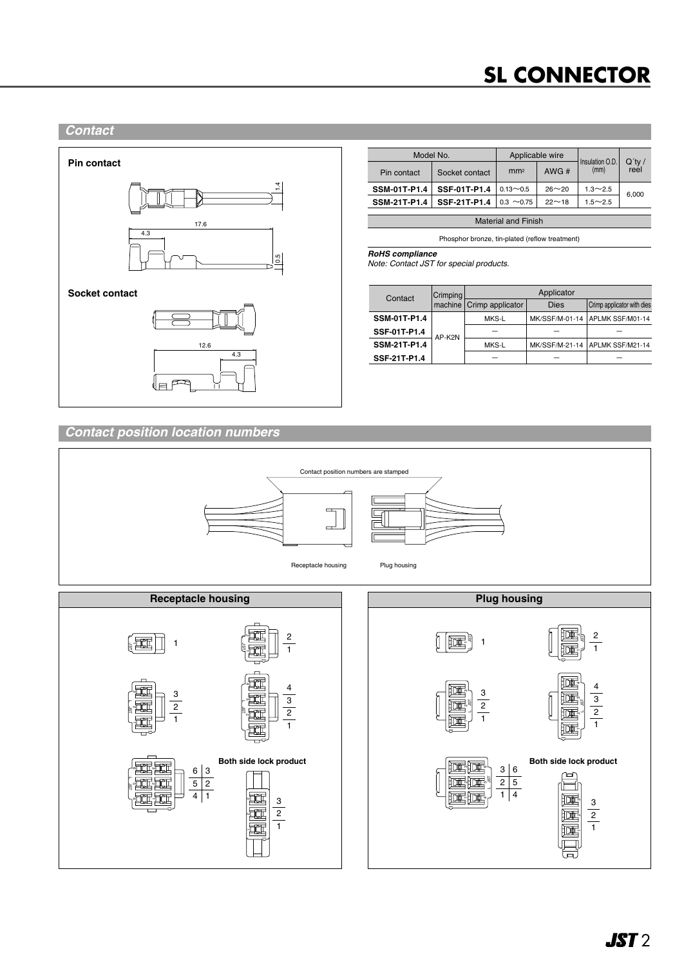# **SL CONNECTOR**

#### *Contact*



| Model No.           |                | Applicable wire |           |                         |                   |
|---------------------|----------------|-----------------|-----------|-------------------------|-------------------|
| Pin contact         | Socket contact | mm <sup>2</sup> | AWG#      | Insulation O.D.<br>(mm) | $Q'$ ty /<br>reel |
| <b>SSM-01T-P1.4</b> | SSF-01T-P1.4   | $0.13 - 0.5$    | $26 - 20$ | $1.3 \sim 2.5$          | 6.000             |
| <b>SSM-21T-P1.4</b> | SSF-21T-P1.4   | $0.3 \sim 0.75$ | $22 - 18$ | $1.5 \sim 2.5$          |                   |
|                     |                |                 |           |                         |                   |

Material and Finish

Phosphor bronze, tin-plated (reflow treatment)

*RoHS compliance*

*Note: Contact JST for special products.*

| Contact             | Crimping | Applicator                 |                |                            |  |
|---------------------|----------|----------------------------|----------------|----------------------------|--|
|                     |          | machine   Crimp applicator | <b>Dies</b>    | Crimp applicator with dies |  |
| <b>SSM-01T-P1.4</b> | AP-K2N   | MKS-L                      | MK/SSF/M-01-14 | APLMK SSF/M01-14           |  |
| SSF-01T-P1.4        |          |                            |                |                            |  |
| <b>SSM-21T-P1.4</b> |          | MKS-L                      | MK/SSF/M-21-14 | APLMK SSF/M21-14           |  |
| SSF-21T-P1.4        |          |                            |                |                            |  |

### *Contact position location numbers*